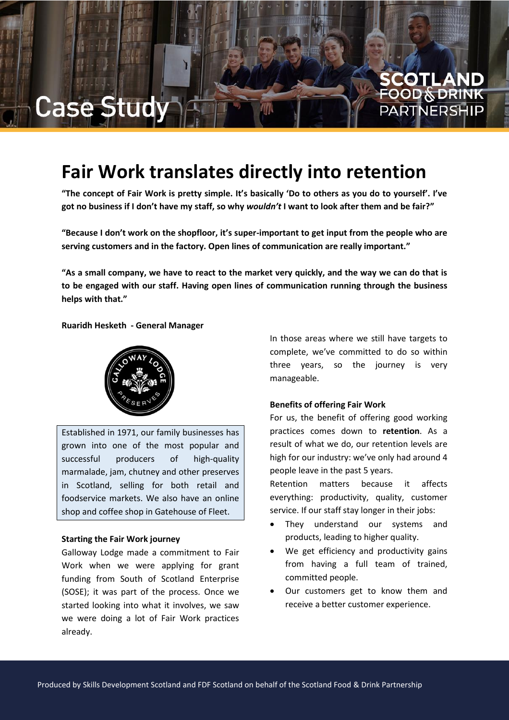# Case

## **Fair Work translates directly into retention**

**"The concept of Fair Work is pretty simple. It's basically 'Do to others as you do to yourself'. I've got no business if I don't have my staff, so why** *wouldn't* **I want to look after them and be fair?"**

**"Because I don't work on the shopfloor, it's super-important to get input from the people who are serving customers and in the factory. Open lines of communication are really important."**

**"As a small company, we have to react to the market very quickly, and the way we can do that is to be engaged with our staff. Having open lines of communication running through the business helps with that."**

**Ruaridh Hesketh - General Manager**



Established in 1971, our family businesses has grown into one of the most popular and successful producers of high-quality marmalade, jam, chutney and other preserves in Scotland, selling for both retail and foodservice markets. We also have an online shop and coffee shop in Gatehouse of Fleet.

### **Starting the Fair Work journey**

Galloway Lodge made a commitment to Fair Work when we were applying for grant funding from South of Scotland Enterprise (SOSE); it was part of the process. Once we started looking into what it involves, we saw we were doing a lot of Fair Work practices already.

In those areas where we still have targets to complete, we've committed to do so within three years, so the journey is very manageable.

**COTLAND**<br>OOD§DRINK

**PARTNERSH** 

### **Benefits of offering Fair Work**

For us, the benefit of offering good working practices comes down to **retention**. As a result of what we do, our retention levels are high for our industry: we've only had around 4 people leave in the past 5 years.

Retention matters because it affects everything: productivity, quality, customer service. If our staff stay longer in their jobs:

- They understand our systems and products, leading to higher quality.
- We get efficiency and productivity gains from having a full team of trained, committed people.
- Our customers get to know them and receive a better customer experience.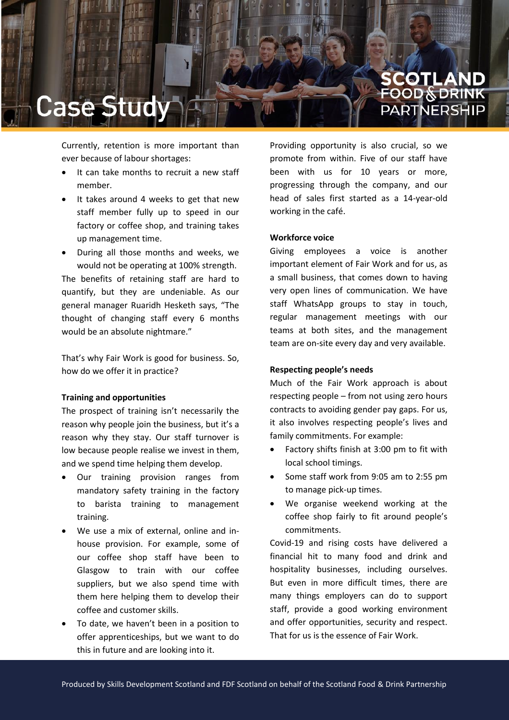

Currently, retention is more important than ever because of labour shortages:

- It can take months to recruit a new staff member.
- It takes around 4 weeks to get that new staff member fully up to speed in our factory or coffee shop, and training takes up management time.
- During all those months and weeks, we would not be operating at 100% strength. The benefits of retaining staff are hard to quantify, but they are undeniable. As our general manager Ruaridh Hesketh says, "The thought of changing staff every 6 months would be an absolute nightmare."

That's why Fair Work is good for business. So, how do we offer it in practice?

### **Training and opportunities**

The prospect of training isn't necessarily the reason why people join the business, but it's a reason why they stay. Our staff turnover is low because people realise we invest in them, and we spend time helping them develop.

- Our training provision ranges from mandatory safety training in the factory to barista training to management training.
- We use a mix of external, online and inhouse provision. For example, some of our coffee shop staff have been to Glasgow to train with our coffee suppliers, but we also spend time with them here helping them to develop their coffee and customer skills.
- To date, we haven't been in a position to offer apprenticeships, but we want to do this in future and are looking into it.

Providing opportunity is also crucial, so we promote from within. Five of our staff have been with us for 10 years or more, progressing through the company, and our head of sales first started as a 14-year-old working in the café.

### **Workforce voice**

Giving employees a voice is another important element of Fair Work and for us, as a small business, that comes down to having very open lines of communication. We have staff WhatsApp groups to stay in touch, regular management meetings with our teams at both sites, and the management team are on-site every day and very available.

### **Respecting people's needs**

Much of the Fair Work approach is about respecting people – from not using zero hours contracts to avoiding gender pay gaps. For us, it also involves respecting people's lives and family commitments. For example:

- Factory shifts finish at 3:00 pm to fit with local school timings.
- Some staff work from 9:05 am to 2:55 pm to manage pick-up times.
- We organise weekend working at the coffee shop fairly to fit around people's commitments.

Covid-19 and rising costs have delivered a financial hit to many food and drink and hospitality businesses, including ourselves. But even in more difficult times, there are many things employers can do to support staff, provide a good working environment and offer opportunities, security and respect. That for us is the essence of Fair Work.